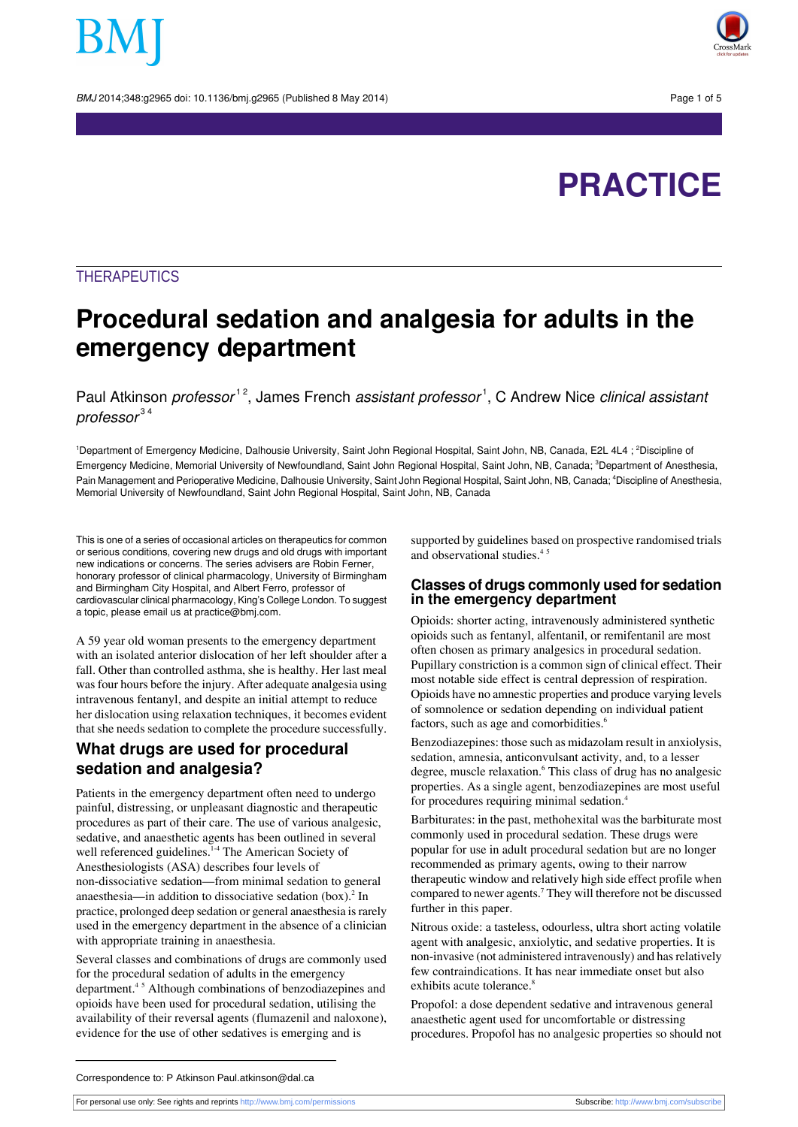BMJ 2014;348:g2965 doi: 10.1136/bmj.g2965 (Published 8 May 2014) Page 1 of 5



# **PRACTICE**

### **THERAPEUTICS**

## **Procedural sedation and analgesia for adults in the emergency department**

Paul Atkinson *professor*<sup>12</sup>, James French *assistant professor*<sup>1</sup>, C Andrew Nice *clinical assistant*  $professor<sup>34</sup>$ 

<sup>1</sup>Department of Emergency Medicine, Dalhousie University, Saint John Regional Hospital, Saint John, NB, Canada, E2L 4L4 ; <sup>2</sup>Discipline of Emergency Medicine, Memorial University of Newfoundland, Saint John Regional Hospital, Saint John, NB, Canada; <sup>3</sup>Department of Anesthesia, Pain Management and Perioperative Medicine, Dalhousie University, Saint John Regional Hospital, Saint John, NB, Canada; <sup>4</sup>Discipline of Anesthesia, Memorial University of Newfoundland, Saint John Regional Hospital, Saint John, NB, Canada

This is one of a series of occasional articles on therapeutics for common or serious conditions, covering new drugs and old drugs with important new indications or concerns. The series advisers are Robin Ferner, honorary professor of clinical pharmacology, University of Birmingham and Birmingham City Hospital, and Albert Ferro, professor of cardiovascular clinical pharmacology, King's College London. To suggest a topic, please email us at practice@bmj.com.

A 59 year old woman presents to the emergency department with an isolated anterior dislocation of her left shoulder after a fall. Other than controlled asthma, she is healthy. Her last meal was four hours before the injury. After adequate analgesia using intravenous fentanyl, and despite an initial attempt to reduce her dislocation using relaxation techniques, it becomes evident that she needs sedation to complete the procedure successfully.

### **What drugs are used for procedural sedation and analgesia?**

Patients in the emergency department often need to undergo painful, distressing, or unpleasant diagnostic and therapeutic procedures as part of their care. The use of various analgesic, sedative, and anaesthetic agents has been outlined in several well referenced guidelines.<sup>1-4</sup> The American Society of Anesthesiologists (ASA) describes four levels of non-dissociative sedation—from minimal sedation to general anaesthesia—in addition to dissociative sedation  $(box)^2$  In practice, prolonged deep sedation or general anaesthesia israrely used in the emergency department in the absence of a clinician with appropriate training in anaesthesia.

Several classes and combinations of drugs are commonly used for the procedural sedation of adults in the emergency department.<sup>4</sup> <sup>5</sup> Although combinations of benzodiazepines and opioids have been used for procedural sedation, utilising the availability of their reversal agents (flumazenil and naloxone), evidence for the use of other sedatives is emerging and is

supported by guidelines based on prospective randomised trials and observational studies.<sup>45</sup>

#### **Classes of drugs commonly used for sedation in the emergency department**

Opioids: shorter acting, intravenously administered synthetic opioids such as fentanyl, alfentanil, or remifentanil are most often chosen as primary analgesics in procedural sedation. Pupillary constriction is a common sign of clinical effect. Their most notable side effect is central depression of respiration. Opioids have no amnestic properties and produce varying levels of somnolence or sedation depending on individual patient factors, such as age and comorbidities.<sup>6</sup>

Benzodiazepines: those such as midazolam result in anxiolysis, sedation, amnesia, anticonvulsant activity, and, to a lesser degree, muscle relaxation.<sup>6</sup> This class of drug has no analgesic properties. As a single agent, benzodiazepines are most useful for procedures requiring minimal sedation.<sup>4</sup>

Barbiturates: in the past, methohexital was the barbiturate most commonly used in procedural sedation. These drugs were popular for use in adult procedural sedation but are no longer recommended as primary agents, owing to their narrow therapeutic window and relatively high side effect profile when compared to newer agents.<sup>7</sup> They will therefore not be discussed further in this paper.

Nitrous oxide: a tasteless, odourless, ultra short acting volatile agent with analgesic, anxiolytic, and sedative properties. It is non-invasive (not administered intravenously) and hasrelatively few contraindications. It has near immediate onset but also exhibits acute tolerance.<sup>8</sup>

Propofol: a dose dependent sedative and intravenous general anaesthetic agent used for uncomfortable or distressing procedures. Propofol has no analgesic properties so should not

Correspondence to: P Atkinson Paul.atkinson@dal.ca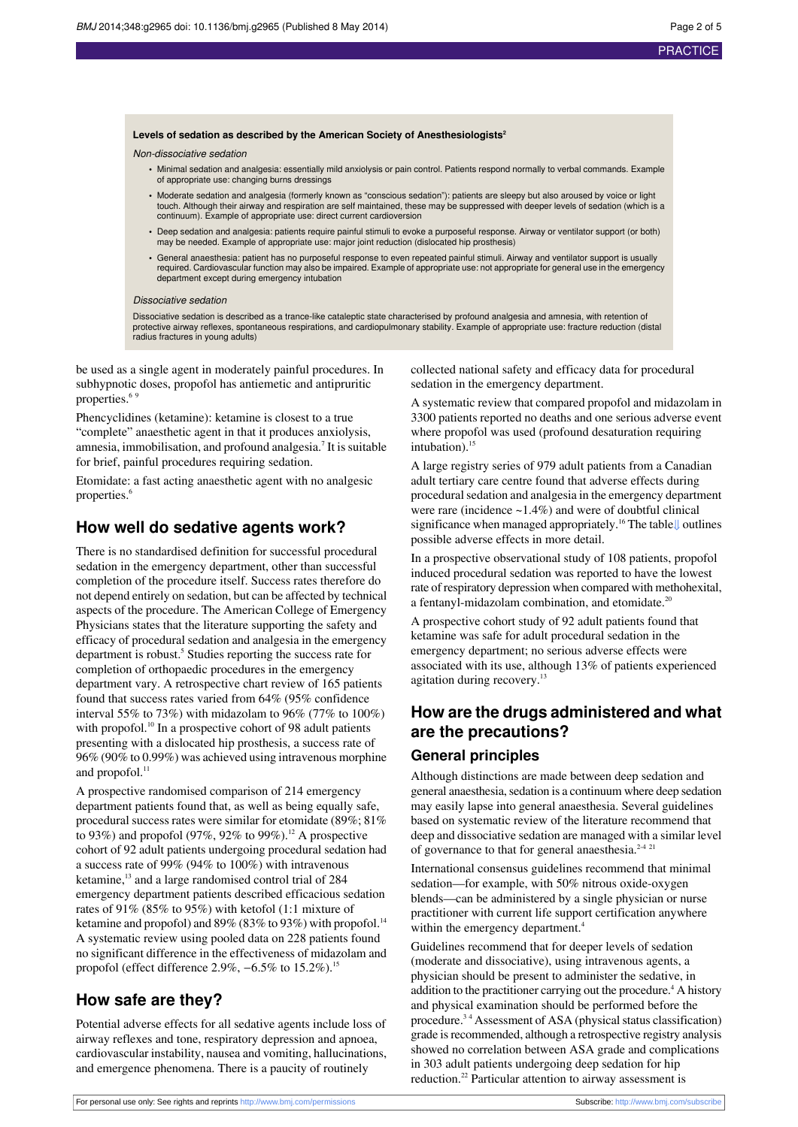#### **Levels of sedation as described by the American Society of Anesthesiologists<sup>2</sup>**

Non-dissociative sedation

- **•** Minimal sedation and analgesia: essentially mild anxiolysis or pain control. Patients respond normally to verbal commands. Example of appropriate use: changing burns dressings
- **•** Moderate sedation and analgesia (formerly known as "conscious sedation"): patients are sleepy but also aroused by voice or light touch. Although their airway and respiration are self maintained, these may be suppressed with deeper levels of sedation (which is a continuum). Example of appropriate use: direct current cardioversion
- **•** Deep sedation and analgesia: patients require painful stimuli to evoke a purposeful response. Airway or ventilator support (or both) may be needed. Example of appropriate use: major joint reduction (dislocated hip prosthesis)
- **•** General anaesthesia: patient has no purposeful response to even repeated painful stimuli. Airway and ventilator support is usually required. Cardiovascular function may also be impaired. Example of appropriate use: not appropriate for general use in the emergency department except during emergency intubation

#### Dissociative sedation

Dissociative sedation is described as a trance-like cataleptic state characterised by profound analgesia and amnesia, with retention of protective airway reflexes, spontaneous respirations, and cardiopulmonary stability. Example of appropriate use: fracture reduction (distal radius fractures in young adults)

be used as a single agent in moderately painful procedures. In subhypnotic doses, propofol has antiemetic and antipruritic properties.<sup>6</sup>

Phencyclidines (ketamine): ketamine is closest to a true "complete" anaesthetic agent in that it produces anxiolysis, amnesia, immobilisation, and profound analgesia.<sup>7</sup> It is suitable for brief, painful procedures requiring sedation.

Etomidate: a fast acting anaesthetic agent with no analgesic properties.<sup>6</sup>

### **How well do sedative agents work?**

There is no standardised definition for successful procedural sedation in the emergency department, other than successful completion of the procedure itself. Success rates therefore do not depend entirely on sedation, but can be affected by technical aspects of the procedure. The American College of Emergency Physicians states that the literature supporting the safety and efficacy of procedural sedation and analgesia in the emergency department is robust.<sup>5</sup> Studies reporting the success rate for completion of orthopaedic procedures in the emergency department vary. A retrospective chart review of 165 patients found that success rates varied from 64% (95% confidence interval 55% to 73%) with midazolam to 96% (77% to 100%) with propofol.<sup>10</sup> In a prospective cohort of 98 adult patients presenting with a dislocated hip prosthesis, a success rate of 96% (90% to 0.99%) was achieved using intravenous morphine and propofol.<sup>11</sup>

A prospective randomised comparison of 214 emergency department patients found that, as well as being equally safe, procedural success rates were similar for etomidate (89%; 81% to 93%) and propofol (97%, 92% to 99%).<sup>12</sup> A prospective cohort of 92 adult patients undergoing procedural sedation had a success rate of 99% (94% to 100%) with intravenous ketamine,<sup>13</sup> and a large randomised control trial of 284 emergency department patients described efficacious sedation rates of 91% (85% to 95%) with ketofol (1:1 mixture of ketamine and propofol) and 89% (83% to 93%) with propofol.<sup>14</sup> A systematic review using pooled data on 228 patients found no significant difference in the effectiveness of midazolam and propofol (effect difference 2.9%,  $-6.5\%$  to 15.2%).<sup>15</sup>

### **How safe are they?**

Potential adverse effects for all sedative agents include loss of airway reflexes and tone, respiratory depression and apnoea, cardiovascular instability, nausea and vomiting, hallucinations, and emergence phenomena. There is a paucity of routinely

collected national safety and efficacy data for procedural sedation in the emergency department.

A systematic review that compared propofol and midazolam in 3300 patients reported no deaths and one serious adverse event where propofol was used (profound desaturation requiring intubation).<sup>15</sup>

A large registry series of 979 adult patients from a Canadian adult tertiary care centre found that adverse effects during procedural sedation and analgesia in the emergency department were rare (incidence ~1.4%) and were of doubtful clinical significance when managed appropriately.<sup>16</sup> The tabl[e⇓](#page-4-0) outlines possible adverse effects in more detail.

In a prospective observational study of 108 patients, propofol induced procedural sedation was reported to have the lowest rate of respiratory depression when compared with methohexital, a fentanyl-midazolam combination, and etomidate. $^{20}$ 

A prospective cohort study of 92 adult patients found that ketamine was safe for adult procedural sedation in the emergency department; no serious adverse effects were associated with its use, although 13% of patients experienced agitation during recovery.<sup>13</sup>

### **How are the drugs administered and what are the precautions?**

#### **General principles**

Although distinctions are made between deep sedation and general anaesthesia, sedation is a continuum where deep sedation may easily lapse into general anaesthesia. Several guidelines based on systematic review of the literature recommend that deep and dissociative sedation are managed with a similar level of governance to that for general anaesthesia.<sup>2-4 21</sup>

International consensus guidelines recommend that minimal sedation—for example, with 50% nitrous oxide-oxygen blends—can be administered by a single physician or nurse practitioner with current life support certification anywhere within the emergency department.<sup>4</sup>

Guidelines recommend that for deeper levels of sedation (moderate and dissociative), using intravenous agents, a physician should be present to administer the sedative, in addition to the practitioner carrying out the procedure.<sup>4</sup> A history and physical examination should be performed before the procedure.<sup>34</sup> Assessment of ASA (physical status classification) grade is recommended, although a retrospective registry analysis showed no correlation between ASA grade and complications in 303 adult patients undergoing deep sedation for hip reduction.<sup>22</sup> Particular attention to airway assessment is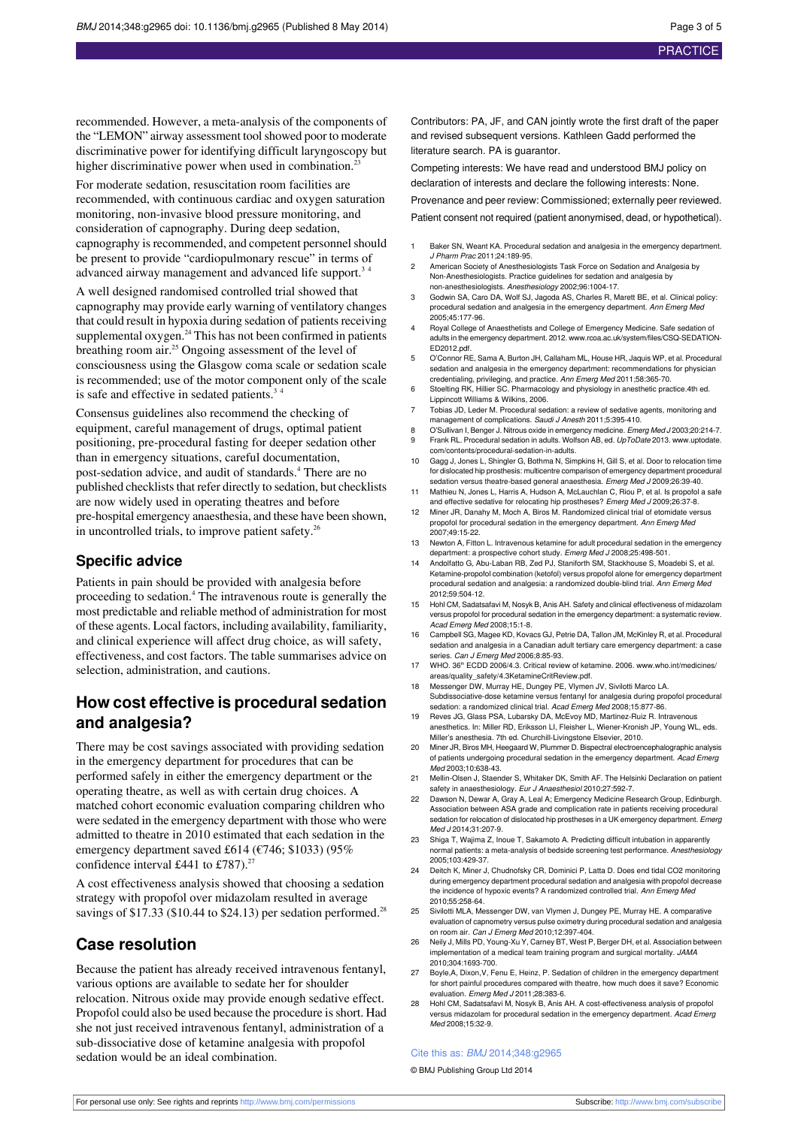recommended. However, a meta-analysis of the components of the "LEMON" airway assessment tool showed poor to moderate discriminative power for identifying difficult laryngoscopy but higher discriminative power when used in combination.<sup>2</sup>

For moderate sedation, resuscitation room facilities are recommended, with continuous cardiac and oxygen saturation monitoring, non-invasive blood pressure monitoring, and consideration of capnography. During deep sedation, capnography is recommended, and competent personnel should be present to provide "cardiopulmonary rescue" in terms of advanced airway management and advanced life support.<sup>34</sup>

A well designed randomised controlled trial showed that capnography may provide early warning of ventilatory changes that could result in hypoxia during sedation of patients receiving supplemental oxygen.<sup>24</sup> This has not been confirmed in patients breathing room air.<sup>25</sup> Ongoing assessment of the level of consciousness using the Glasgow coma scale or sedation scale is recommended; use of the motor component only of the scale is safe and effective in sedated patients.<sup>34</sup>

Consensus guidelines also recommend the checking of equipment, careful management of drugs, optimal patient positioning, pre-procedural fasting for deeper sedation other than in emergency situations, careful documentation, post-sedation advice, and audit of standards.<sup>4</sup> There are no published checklists that refer directly to sedation, but checklists are now widely used in operating theatres and before pre-hospital emergency anaesthesia, and these have been shown, in uncontrolled trials, to improve patient safety.<sup>26</sup>

#### **Specific advice**

Patients in pain should be provided with analgesia before proceeding to sedation.<sup>4</sup> The intravenous route is generally the most predictable and reliable method of administration for most of these agents. Local factors, including availability, familiarity, and clinical experience will affect drug choice, as will safety, effectiveness, and cost factors. The table summarises advice on selection, administration, and cautions.

### **How cost effective is procedural sedation and analgesia?**

There may be cost savings associated with providing sedation in the emergency department for procedures that can be performed safely in either the emergency department or the operating theatre, as well as with certain drug choices. A matched cohort economic evaluation comparing children who were sedated in the emergency department with those who were admitted to theatre in 2010 estimated that each sedation in the emergency department saved £614 (€746; \$1033) (95% confidence interval £441 to £787).<sup>2</sup>

A cost effectiveness analysis showed that choosing a sedation strategy with propofol over midazolam resulted in average savings of \$17.33 (\$10.44 to \$24.13) per sedation performed.<sup>28</sup>

### **Case resolution**

Because the patient has already received intravenous fentanyl, various options are available to sedate her for shoulder relocation. Nitrous oxide may provide enough sedative effect. Propofol could also be used because the procedure is short. Had she not just received intravenous fentanyl, administration of a sub-dissociative dose of ketamine analgesia with propofol sedation would be an ideal combination.

Contributors: PA, JF, and CAN jointly wrote the first draft of the paper and revised subsequent versions. Kathleen Gadd performed the literature search. PA is guarantor.

Competing interests: We have read and understood BMJ policy on declaration of interests and declare the following interests: None.

Provenance and peer review: Commissioned; externally peer reviewed. Patient consent not required (patient anonymised, dead, or hypothetical).

- 1 Baker SN, Weant KA. Procedural sedation and analgesia in the emergency department. J Pharm Prac 2011;24:189-95.
- 2 American Society of Anesthesiologists Task Force on Sedation and Analgesia by Non-Anesthesiologists. Practice guidelines for sedation and analgesia by non-anesthesiologists. Anesthesiology 2002;96:1004-17.
- 3 Godwin SA, Caro DA, Wolf SJ, Jagoda AS, Charles R, Marett BE, et al. Clinical policy: procedural sedation and analgesia in the emergency department. Ann Emerg Med 2005;45:177-96.
- 4 Royal College of Anaesthetists and College of Emergency Medicine. Safe sedation of adults in the emergency department. 2012. [www.rcoa.ac.uk/system/files/CSQ-SEDATION-](http://www.rcoa.ac.uk/system/files/CSQ-SEDATION-ED2012.pdf)[ED2012.pdf](http://www.rcoa.ac.uk/system/files/CSQ-SEDATION-ED2012.pdf).
- 5 O'Connor RE, Sama A, Burton JH, Callaham ML, House HR, Jaquis WP, et al. Procedural sedation and analgesia in the emergency department: recommendations for physician credentialing, privileging, and practice. Ann Emerg Med 2011;58:365-70.
- 6 Stoelting RK, Hillier SC. Pharmacology and physiology in anesthetic practice.4th ed. Lippincott Williams & Wilkins, 2006.
- 7 Tobias JD, Leder M. Procedural sedation: a review of sedative agents, monitoring and management of complications. Saudi J Anesth 2011;5:395-410.
- 8 O'Sullivan I, Benger J. Nitrous oxide in emergency medicine. Emerg Med J 2003:20:214-7. 9 Frank RL. Procedural sedation in adults. Wolfson AB, ed. UpToDate 2013. www.uptodate [com/contents/procedural-sedation-in-adults.](http://www.uptodate.com/contents/procedural-sedation-in-adults)
- 10 Gagg J, Jones L, Shingler G, Bothma N, Simpkins H, Gill S, et al. Door to relocation time for dislocated hip prosthesis: multicentre comparison of emergency department procedural sedation versus theatre-based general anaesthesia. Emerg Med J 2009;26:39-40.
- 11 Mathieu N, Jones L, Harris A, Hudson A, McLauchlan C, Riou P, et al. Is propofol a safe and effective sedative for relocating hip prostheses? Emerg Med J 2009;26:37-8.
- 12 Miner JR, Danahy M, Moch A, Biros M. Randomized clinical trial of etomidate versus propofol for procedural sedation in the emergency department. Ann Emerg Med 2007;49:15-22.
- 13 Newton A, Fitton L. Intravenous ketamine for adult procedural sedation in the emergency department: a prospective cohort study. Emerg Med J 2008;25:498-501.
- 14 Andolfatto G, Abu-Laban RB, Zed PJ, Staniforth SM, Stackhouse S, Moadebi S, et al. Ketamine-propofol combination (ketofol) versus propofol alone for emergency department procedural sedation and analgesia: a randomized double-blind trial. Ann Emerg Med 2012;59:504-12.
- 15 Hohl CM, Sadatsafavi M, Nosyk B, Anis AH. Safety and clinical effectiveness of midazolam versus propofol for procedural sedation in the emergency department: a systematic review. Acad Emerg Med 2008;15:1-8.
- 16 Campbell SG, Magee KD, Kovacs GJ, Petrie DA, Tallon JM, McKinley R, et al. Procedural sedation and analgesia in a Canadian adult tertiary care emergency department: a case series. Can J Emerg Med 2006;8:85-93.
- 17 WHO. 36<sup>th</sup> ECDD 2006/4.3. Critical review of ketamine. 2006. [www.who.int/medicines/](http://www.who.int/medicines/areas/quality_safety/4.3KetamineCritReview.pdf) [areas/quality\\_safety/4.3KetamineCritReview.pdf](http://www.who.int/medicines/areas/quality_safety/4.3KetamineCritReview.pdf).
- 18 Messenger DW, Murray HE, Dungey PE, Vlymen JV, Sivilotti Marco LA. Subdissociative-dose ketamine versus fentanyl for analgesia during propofol procedural sedation: a randomized clinical trial. Acad Emerg Med 2008;15:877-86.
- 19 Reves JG, Glass PSA, Lubarsky DA, McEvoy MD, Martinez-Ruiz R. Intravenous anesthetics. In: Miller RD, Eriksson LI, Fleisher L, Wiener-Kronish JP, Young WL, eds. Miller's anesthesia. 7th ed. Churchill-Livingstone Elsevier, 2010.
- 20 Miner JR, Biros MH, Heegaard W, Plummer D. Bispectral electroencephalographic analysis of patients undergoing procedural sedation in the emergency department. Acad Emerg Med 2003;10:638-43.
- 21 Mellin-Olsen J, Staender S, Whitaker DK, Smith AF. The Helsinki Declaration on patient safety in anaesthesiology. Eur J Anaesthesiol 2010;27:592-7.
- 22 Dawson N, Dewar A, Gray A, Leal A; Emergency Medicine Research Group, Edinburgh. Association between ASA grade and complication rate in patients receiving procedural sedation for relocation of dislocated hip prostheses in a UK emergency department. Emerg Med J 2014;31:207-9.
- 23 Shiga T, Wajima Z, Inoue T, Sakamoto A. Predicting difficult intubation in apparently normal patients: a meta-analysis of bedside screening test performance. Anesthesiology 2005;103:429-37.
- 24 Deitch K, Miner J, Chudnofsky CR, Dominici P, Latta D. Does end tidal CO2 monitoring during emergency department procedural sedation and analgesia with propofol decrease the incidence of hypoxic events? A randomized controlled trial. Ann Emerg Med 2010;55:258-64.
- 25 Sivilotti MLA, Messenger DW, van Vlymen J, Dungey PE, Murray HE. A comparative evaluation of capnometry versus pulse oximetry during procedural sedation and analgesia on room air. Can J Emerg Med 2010;12:397-404.
- Neily J, Mills PD, Young-Xu Y, Carney BT, West P, Berger DH, et al. Association between implementation of a medical team training program and surgical mortality. JAMA 2010;304:1693-700.
- 27 Boyle,A, Dixon,V, Fenu E, Heinz, P. Sedation of children in the emergency department for short painful procedures compared with theatre, how much does it save? Economic evaluation. Emerg Med J 2011;28:383-6.
- 28 Hohl CM, Sadatsafavi M, Nosyk B, Anis AH. A cost-effectiveness analysis of propofol versus midazolam for procedural sedation in the emergency department. Acad Emerg Med 2008;15:32-9.

#### Cite this as: BMJ 2014;348:g2965

© BMJ Publishing Group Ltd 2014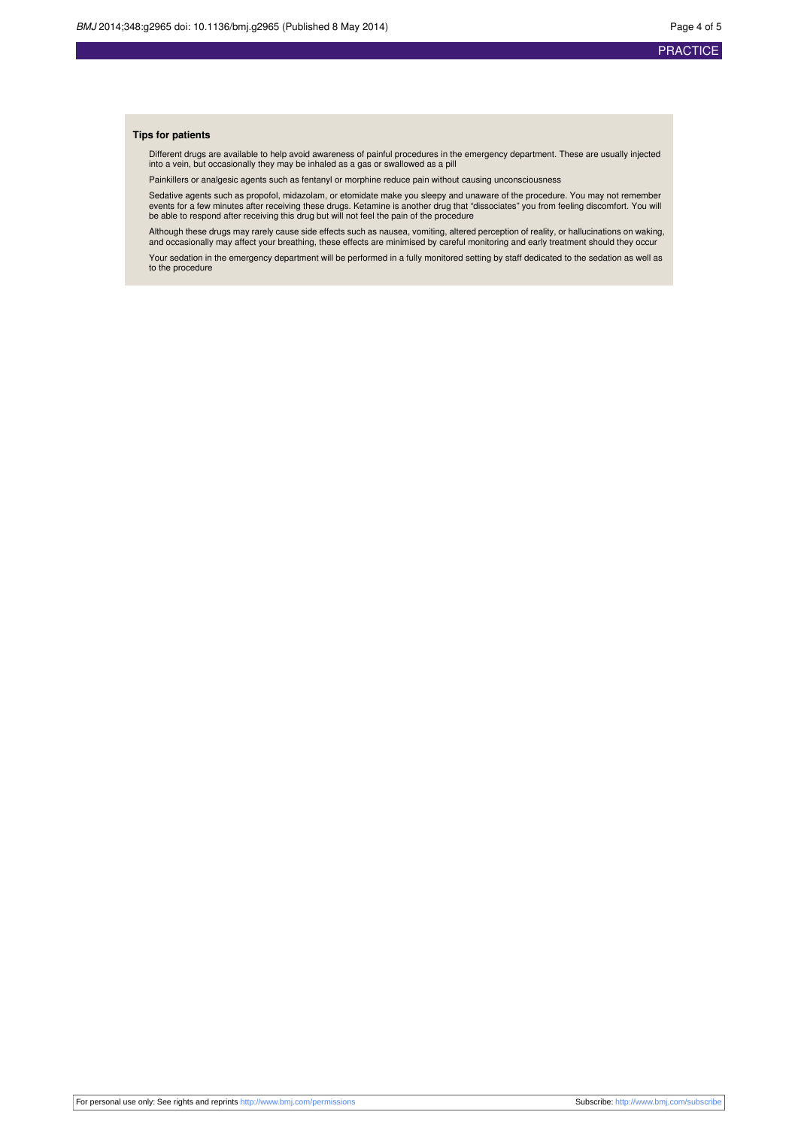#### **Tips for patients**

Different drugs are available to help avoid awareness of painful procedures in the emergency department. These are usually injected into a vein, but occasionally they may be inhaled as a gas or swallowed as a pill

Painkillers or analgesic agents such as fentanyl or morphine reduce pain without causing unconsciousness

Sedative agents such as propofol, midazolam, or etomidate make you sleepy and unaware of the procedure. You may not remember events for a few minutes after receiving these drugs. Ketamine is another drug that "dissociates" you from feeling discomfort. You will be able to respond after receiving this drug but will not feel the pain of the procedure

Although these drugs may rarely cause side effects such as nausea, vomiting, altered perception of reality, or hallucinations on waking,<br>and occasionally may affect your breathing, these effects are minimised by careful mo

Your sedation in the emergency department will be performed in a fully monitored setting by staff dedicated to the sedation as well as to the procedure